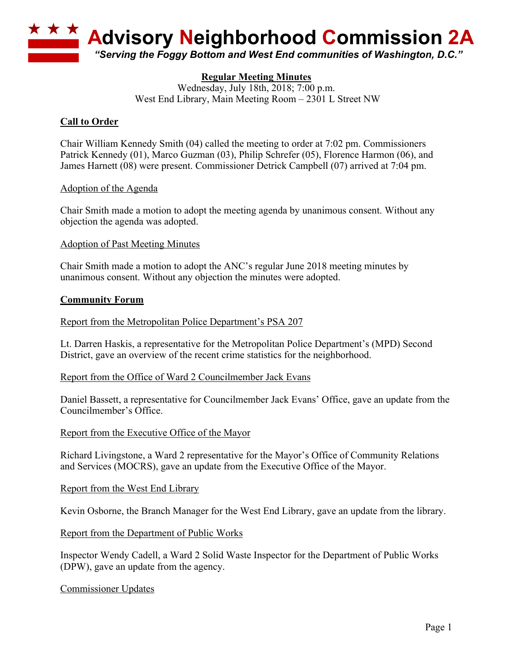

# **Regular Meeting Minutes**

Wednesday, July 18th, 2018; 7:00 p.m. West End Library, Main Meeting Room – 2301 L Street NW

## **Call to Order**

Chair William Kennedy Smith (04) called the meeting to order at 7:02 pm. Commissioners Patrick Kennedy (01), Marco Guzman (03), Philip Schrefer (05), Florence Harmon (06), and James Harnett (08) were present. Commissioner Detrick Campbell (07) arrived at 7:04 pm.

Adoption of the Agenda

Chair Smith made a motion to adopt the meeting agenda by unanimous consent. Without any objection the agenda was adopted.

Adoption of Past Meeting Minutes

Chair Smith made a motion to adopt the ANC's regular June 2018 meeting minutes by unanimous consent. Without any objection the minutes were adopted.

#### **Community Forum**

Report from the Metropolitan Police Department's PSA 207

Lt. Darren Haskis, a representative for the Metropolitan Police Department's (MPD) Second District, gave an overview of the recent crime statistics for the neighborhood.

#### Report from the Office of Ward 2 Councilmember Jack Evans

Daniel Bassett, a representative for Councilmember Jack Evans' Office, gave an update from the Councilmember's Office.

Report from the Executive Office of the Mayor

Richard Livingstone, a Ward 2 representative for the Mayor's Office of Community Relations and Services (MOCRS), gave an update from the Executive Office of the Mayor.

Report from the West End Library

Kevin Osborne, the Branch Manager for the West End Library, gave an update from the library.

#### Report from the Department of Public Works

Inspector Wendy Cadell, a Ward 2 Solid Waste Inspector for the Department of Public Works (DPW), gave an update from the agency.

Commissioner Updates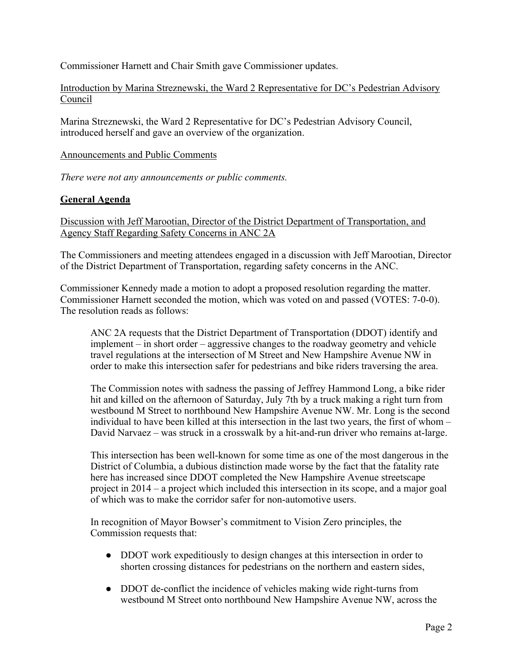Commissioner Harnett and Chair Smith gave Commissioner updates.

Introduction by Marina Streznewski, the Ward 2 Representative for DC's Pedestrian Advisory Council

Marina Streznewski, the Ward 2 Representative for DC's Pedestrian Advisory Council, introduced herself and gave an overview of the organization.

#### Announcements and Public Comments

*There were not any announcements or public comments.*

### **General Agenda**

Discussion with Jeff Marootian, Director of the District Department of Transportation, and Agency Staff Regarding Safety Concerns in ANC 2A

The Commissioners and meeting attendees engaged in a discussion with Jeff Marootian, Director of the District Department of Transportation, regarding safety concerns in the ANC.

Commissioner Kennedy made a motion to adopt a proposed resolution regarding the matter. Commissioner Harnett seconded the motion, which was voted on and passed (VOTES: 7-0-0). The resolution reads as follows:

ANC 2A requests that the District Department of Transportation (DDOT) identify and implement – in short order – aggressive changes to the roadway geometry and vehicle travel regulations at the intersection of M Street and New Hampshire Avenue NW in order to make this intersection safer for pedestrians and bike riders traversing the area.

The Commission notes with sadness the passing of Jeffrey Hammond Long, a bike rider hit and killed on the afternoon of Saturday, July 7th by a truck making a right turn from westbound M Street to northbound New Hampshire Avenue NW. Mr. Long is the second individual to have been killed at this intersection in the last two years, the first of whom – David Narvaez – was struck in a crosswalk by a hit-and-run driver who remains at-large.

This intersection has been well-known for some time as one of the most dangerous in the District of Columbia, a dubious distinction made worse by the fact that the fatality rate here has increased since DDOT completed the New Hampshire Avenue streetscape project in 2014 – a project which included this intersection in its scope, and a major goal of which was to make the corridor safer for non-automotive users.

In recognition of Mayor Bowser's commitment to Vision Zero principles, the Commission requests that:

- DDOT work expeditiously to design changes at this intersection in order to shorten crossing distances for pedestrians on the northern and eastern sides,
- DDOT de-conflict the incidence of vehicles making wide right-turns from westbound M Street onto northbound New Hampshire Avenue NW, across the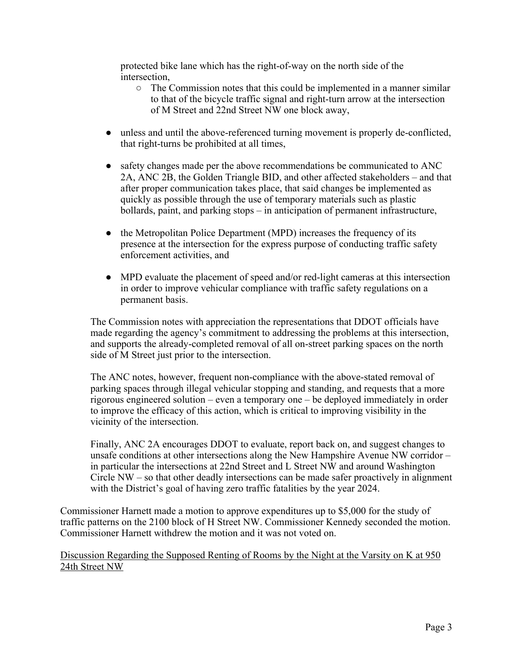protected bike lane which has the right-of-way on the north side of the intersection,

- The Commission notes that this could be implemented in a manner similar to that of the bicycle traffic signal and right-turn arrow at the intersection of M Street and 22nd Street NW one block away,
- unless and until the above-referenced turning movement is properly de-conflicted, that right-turns be prohibited at all times,
- safety changes made per the above recommendations be communicated to ANC 2A, ANC 2B, the Golden Triangle BID, and other affected stakeholders – and that after proper communication takes place, that said changes be implemented as quickly as possible through the use of temporary materials such as plastic bollards, paint, and parking stops – in anticipation of permanent infrastructure,
- the Metropolitan Police Department (MPD) increases the frequency of its presence at the intersection for the express purpose of conducting traffic safety enforcement activities, and
- MPD evaluate the placement of speed and/or red-light cameras at this intersection in order to improve vehicular compliance with traffic safety regulations on a permanent basis.

The Commission notes with appreciation the representations that DDOT officials have made regarding the agency's commitment to addressing the problems at this intersection, and supports the already-completed removal of all on-street parking spaces on the north side of M Street just prior to the intersection.

The ANC notes, however, frequent non-compliance with the above-stated removal of parking spaces through illegal vehicular stopping and standing, and requests that a more rigorous engineered solution – even a temporary one – be deployed immediately in order to improve the efficacy of this action, which is critical to improving visibility in the vicinity of the intersection.

Finally, ANC 2A encourages DDOT to evaluate, report back on, and suggest changes to unsafe conditions at other intersections along the New Hampshire Avenue NW corridor – in particular the intersections at 22nd Street and L Street NW and around Washington Circle NW – so that other deadly intersections can be made safer proactively in alignment with the District's goal of having zero traffic fatalities by the year 2024.

Commissioner Harnett made a motion to approve expenditures up to \$5,000 for the study of traffic patterns on the 2100 block of H Street NW. Commissioner Kennedy seconded the motion. Commissioner Harnett withdrew the motion and it was not voted on.

Discussion Regarding the Supposed Renting of Rooms by the Night at the Varsity on K at 950 24th Street NW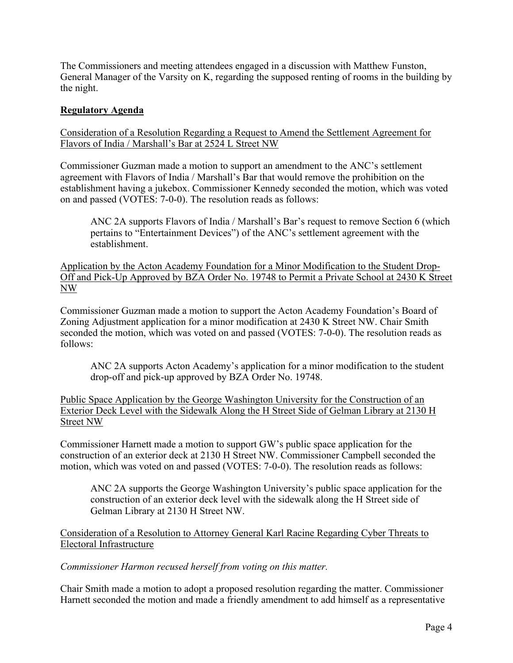The Commissioners and meeting attendees engaged in a discussion with Matthew Funston, General Manager of the Varsity on K, regarding the supposed renting of rooms in the building by the night.

## **Regulatory Agenda**

Consideration of a Resolution Regarding a Request to Amend the Settlement Agreement for Flavors of India / Marshall's Bar at 2524 L Street NW

Commissioner Guzman made a motion to support an amendment to the ANC's settlement agreement with Flavors of India / Marshall's Bar that would remove the prohibition on the establishment having a jukebox. Commissioner Kennedy seconded the motion, which was voted on and passed (VOTES: 7-0-0). The resolution reads as follows:

ANC 2A supports Flavors of India / Marshall's Bar's request to remove Section 6 (which pertains to "Entertainment Devices") of the ANC's settlement agreement with the establishment.

Application by the Acton Academy Foundation for a Minor Modification to the Student Drop-Off and Pick-Up Approved by BZA Order No. 19748 to Permit a Private School at 2430 K Street NW

Commissioner Guzman made a motion to support the Acton Academy Foundation's Board of Zoning Adjustment application for a minor modification at 2430 K Street NW. Chair Smith seconded the motion, which was voted on and passed (VOTES: 7-0-0). The resolution reads as follows:

ANC 2A supports Acton Academy's application for a minor modification to the student drop-off and pick-up approved by BZA Order No. 19748.

Public Space Application by the George Washington University for the Construction of an Exterior Deck Level with the Sidewalk Along the H Street Side of Gelman Library at 2130 H Street NW

Commissioner Harnett made a motion to support GW's public space application for the construction of an exterior deck at 2130 H Street NW. Commissioner Campbell seconded the motion, which was voted on and passed (VOTES: 7-0-0). The resolution reads as follows:

ANC 2A supports the George Washington University's public space application for the construction of an exterior deck level with the sidewalk along the H Street side of Gelman Library at 2130 H Street NW.

Consideration of a Resolution to Attorney General Karl Racine Regarding Cyber Threats to Electoral Infrastructure

*Commissioner Harmon recused herself from voting on this matter.*

Chair Smith made a motion to adopt a proposed resolution regarding the matter. Commissioner Harnett seconded the motion and made a friendly amendment to add himself as a representative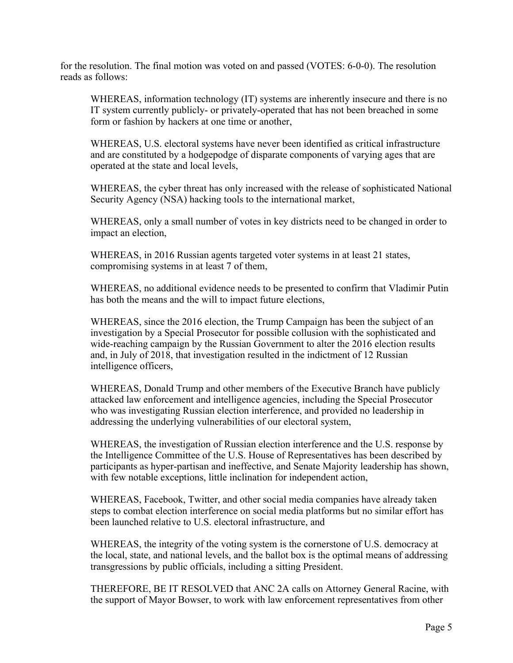for the resolution. The final motion was voted on and passed (VOTES: 6-0-0). The resolution reads as follows:

WHEREAS, information technology (IT) systems are inherently insecure and there is no IT system currently publicly- or privately-operated that has not been breached in some form or fashion by hackers at one time or another,

WHEREAS, U.S. electoral systems have never been identified as critical infrastructure and are constituted by a hodgepodge of disparate components of varying ages that are operated at the state and local levels,

WHEREAS, the cyber threat has only increased with the release of sophisticated National Security Agency (NSA) hacking tools to the international market,

WHEREAS, only a small number of votes in key districts need to be changed in order to impact an election,

WHEREAS, in 2016 Russian agents targeted voter systems in at least 21 states, compromising systems in at least 7 of them,

WHEREAS, no additional evidence needs to be presented to confirm that Vladimir Putin has both the means and the will to impact future elections,

WHEREAS, since the 2016 election, the Trump Campaign has been the subject of an investigation by a Special Prosecutor for possible collusion with the sophisticated and wide-reaching campaign by the Russian Government to alter the 2016 election results and, in July of 2018, that investigation resulted in the indictment of 12 Russian intelligence officers,

WHEREAS, Donald Trump and other members of the Executive Branch have publicly attacked law enforcement and intelligence agencies, including the Special Prosecutor who was investigating Russian election interference, and provided no leadership in addressing the underlying vulnerabilities of our electoral system,

WHEREAS, the investigation of Russian election interference and the U.S. response by the Intelligence Committee of the U.S. House of Representatives has been described by participants as hyper-partisan and ineffective, and Senate Majority leadership has shown, with few notable exceptions, little inclination for independent action,

WHEREAS, Facebook, Twitter, and other social media companies have already taken steps to combat election interference on social media platforms but no similar effort has been launched relative to U.S. electoral infrastructure, and

WHEREAS, the integrity of the voting system is the cornerstone of U.S. democracy at the local, state, and national levels, and the ballot box is the optimal means of addressing transgressions by public officials, including a sitting President.

THEREFORE, BE IT RESOLVED that ANC 2A calls on Attorney General Racine, with the support of Mayor Bowser, to work with law enforcement representatives from other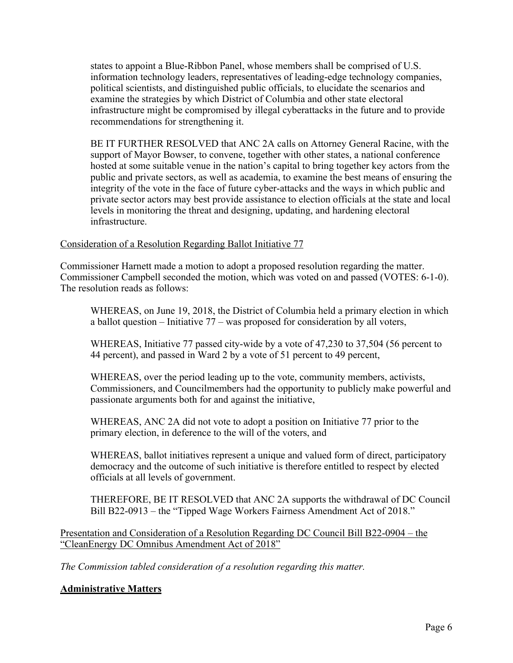states to appoint a Blue-Ribbon Panel, whose members shall be comprised of U.S. information technology leaders, representatives of leading-edge technology companies, political scientists, and distinguished public officials, to elucidate the scenarios and examine the strategies by which District of Columbia and other state electoral infrastructure might be compromised by illegal cyberattacks in the future and to provide recommendations for strengthening it.

BE IT FURTHER RESOLVED that ANC 2A calls on Attorney General Racine, with the support of Mayor Bowser, to convene, together with other states, a national conference hosted at some suitable venue in the nation's capital to bring together key actors from the public and private sectors, as well as academia, to examine the best means of ensuring the integrity of the vote in the face of future cyber-attacks and the ways in which public and private sector actors may best provide assistance to election officials at the state and local levels in monitoring the threat and designing, updating, and hardening electoral infrastructure.

### Consideration of a Resolution Regarding Ballot Initiative 77

Commissioner Harnett made a motion to adopt a proposed resolution regarding the matter. Commissioner Campbell seconded the motion, which was voted on and passed (VOTES: 6-1-0). The resolution reads as follows:

WHEREAS, on June 19, 2018, the District of Columbia held a primary election in which a ballot question – Initiative 77 – was proposed for consideration by all voters,

WHEREAS, Initiative 77 passed city-wide by a vote of 47,230 to 37,504 (56 percent to 44 percent), and passed in Ward 2 by a vote of 51 percent to 49 percent,

WHEREAS, over the period leading up to the vote, community members, activists, Commissioners, and Councilmembers had the opportunity to publicly make powerful and passionate arguments both for and against the initiative,

WHEREAS, ANC 2A did not vote to adopt a position on Initiative 77 prior to the primary election, in deference to the will of the voters, and

WHEREAS, ballot initiatives represent a unique and valued form of direct, participatory democracy and the outcome of such initiative is therefore entitled to respect by elected officials at all levels of government.

THEREFORE, BE IT RESOLVED that ANC 2A supports the withdrawal of DC Council Bill B22-0913 – the "Tipped Wage Workers Fairness Amendment Act of 2018."

Presentation and Consideration of a Resolution Regarding DC Council Bill B22-0904 – the "CleanEnergy DC Omnibus Amendment Act of 2018"

*The Commission tabled consideration of a resolution regarding this matter.*

# **Administrative Matters**